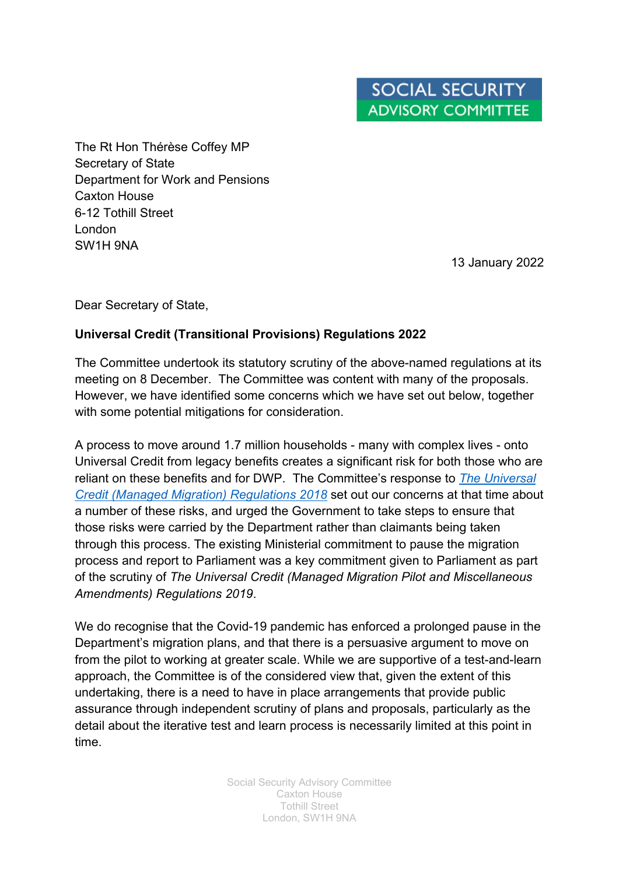The Rt Hon Thérèse Coffey MP Secretary of State Department for Work and Pensions Caxton House 6-12 Tothill Street London SW1H 9NA

13 January 2022

Dear Secretary of State,

## **Universal Credit (Transitional Provisions) Regulations 2022**

The Committee undertook its statutory scrutiny of the above-named regulations at its meeting on 8 December. The Committee was content with many of the proposals. However, we have identified some concerns which we have set out below, together with some potential mitigations for consideration.

A process to move around 1.7 million households - many with complex lives - onto Universal Credit from legacy benefits creates a significant risk for both those who are reliant on these benefits and for DWP. The Committee's response to *[The Universal](https://www.gov.uk/government/publications/draft-universal-credit-managed-migration-regulations-2018-ssac-report-and-government-statement)  [Credit \(Managed Migration\) Regulations 2018](https://www.gov.uk/government/publications/draft-universal-credit-managed-migration-regulations-2018-ssac-report-and-government-statement)* set out our concerns at that time about a number of these risks, and urged the Government to take steps to ensure that those risks were carried by the Department rather than claimants being taken through this process. The existing Ministerial commitment to pause the migration process and report to Parliament was a key commitment given to Parliament as part of the scrutiny of *The Universal Credit (Managed Migration Pilot and Miscellaneous Amendments) Regulations 2019*.

We do recognise that the Covid-19 pandemic has enforced a prolonged pause in the Department's migration plans, and that there is a persuasive argument to move on from the pilot to working at greater scale. While we are supportive of a test-and-learn approach, the Committee is of the considered view that, given the extent of this undertaking, there is a need to have in place arrangements that provide public assurance through independent scrutiny of plans and proposals, particularly as the detail about the iterative test and learn process is necessarily limited at this point in time.

> Social Security Advisory Committee Caxton House Tothill Street London, SW1H 9NA